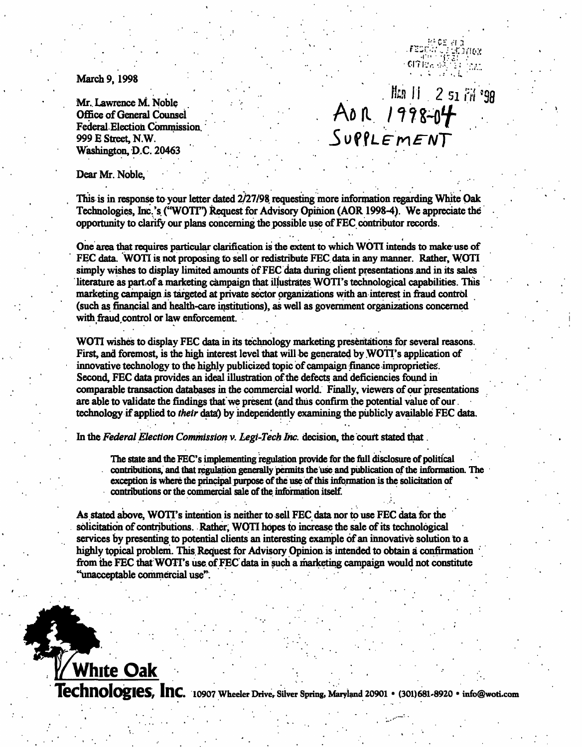March 9, 1998

Office of General Counsel Federal Election Commission. 999 E Street, N.W. Washington, D.C. 20463

Mr. Lawrence M. Noble<br>
Mr. Lawrence M. Noble<br>
Office of General Counsel<br>
Federal Election Commission<br>
999 E Street, N.W.<br>
SUPPLE MENT

र जन्म कुर्तु<br>बारोक क्यू

Dear Mr. Noble,

White Oak

This is in response to your letter dated 2/27/98 requesting more information regarding White Oak Technologies, Inc.'s ("WOTI") Request for Advisory Opinion (AOR 1998-4). We appreciate the opportunity to clarify our plans concerning the possible use of FEC contributor records.

One area that requires particular clarification is the extent to which WOTI intends to make-use of FEC data. WOTI is not proposing to sell or redistribute FEC data in any manner. Rather, WOTI simply wishes to display limited amounts of FEC data during client presentations and in its sales literature as part, of a marketing campaign that illustrates WOTI's technological capabilities. This marketing campaign is targeted at private sector organizations with an interest in fraud control (such as financial and health-care institutions), as well as government organizations concerned with fraud control or law enforcement.

WOTI wishes to display FEC data in its technology marketing presentations for several reasons. First, and foremost, is the high interest level that will be generated by WOTI's application of innovative technology to the highly publicized topic of campaign finance improprieties. Second, FEC data provides an ideal illustration of the defects and deficiencies found in comparable transaction databases in the commercial world. Finally, viewers of our presentations are able to validate the findings that we present (and thus confirm the potential value of our. technology if applied to their data) by independently examining the publicly available FEC data.

In the Federal Election Commission v. Legi-Tech Inc. decision, the court stated that.

The state and the FEC's implementing regulation provide for the full disclosure of political contributions, and that regulation generally permits the 'use and publication of the information. The exception is where the principal purpose of the use of this information is the solicitation of contributions or the commercial sale of the information itself.

As stated above, WOTT's intention is neither to sell FEC data nor to use FEC data for the solicitation of contributions. Rather, WOTI hopes to increase the sale of its technological services by presenting to potential clients an interesting example of an innovative solution to a highly topical problem. This Request for Advisory Opinion is intended to obtain a confirmation • from the FEC that WOTI's use of FEC data in such a marketing campaign would not constitute "unacceptable commercial use". .

**Technologies, Inc.** 10907 Wheeler Drive, Silver Spring, Maryland 20901 • (301)681-8920 • info@woti.com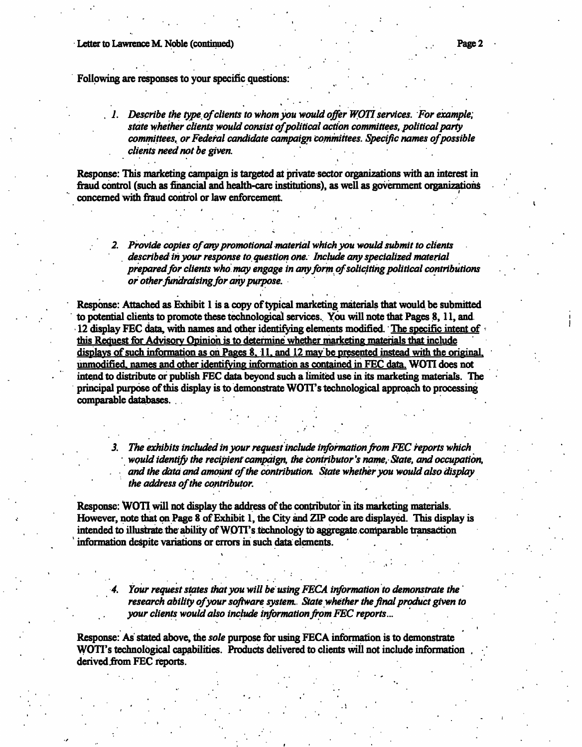Following are responses to your specific questions:

 $1.$  Describe the type of clients to whom you would offer WOTI services. For example, state whether clients would consist of political action committees, political party committees, or Federal candidate campaign committees. Specific names of possible clients need not be given.

Response: This marketing campaign is targeted at private sector organizations with an interest in fraud control (such as financial and health-care institutions), as well as government organizations concerned with fraud control or law enforcement.

2. Provide copies of any promotional material which you would submit to clients described in your response to. question one. Include any specialized material prepared for clients who may engage in any form of soliciting political contributions or other fundraising for any purpose.

Response: Attached as Exhibit 1 is a copy of typical marketing materials that would, be submitted to potential clients to promote these technological services.. You will note that Pages 8,11, and. • 12 display FEC data, with names and other identifying elements modified. The specific intent of this Request for Advisory Opinion is to determine whether marketing materials that include displays of such information as on Pages 8, 11, and 12 may be presented instead with the original. unmodified, names and other identifying information as contained in FEC data. WOTI does not intend to distribute or publish FEC data beyond such a limited use in its marketing materials. The principal purpose of this display is to demonstrate WOTT's technological approach to processing comparable databases. . . : 200 million of the Contractor . A construction of the construction of the construction of the construction of the construction of the construction of the construction of the construction of the construction of the construction of the construction of th

3. The exhibits included in your request include information from FEC reports which • would identify the recipient campaign, the contributor's name, State, and occupation, and the data and amount of the contribution. State whether you would also display the address of the contributor.

Response: WOTI will not display the address of the contributor in its marketing materials. However, note that on Page 8 of Exhibit 1, the City and ZIP code are displayed. This display is intended to illustrate the ability of WOTPs. technology to aggregate .comparable transaction information despite variations or errors in such data elements. '

> Your request states that you will be using FECA information to demonstrate the research ability of your software system. State whether the final product given to your clients would also include information from FEC reports...

Response: As' stated above, the sole purpose for using FECA information is to demonstrate WOTT's technological capabilities. Products delivered to clients will not include information derived from FEC reports.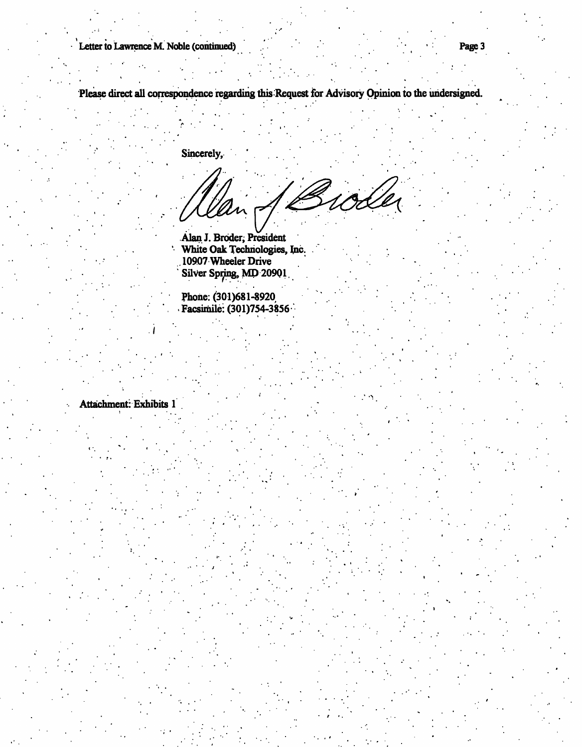Letter to Lawrence M. Noble (continued) and the continued Page 3

Please direct all correspondence regarding this Request for Advisory Opinion to the undersigned.

Sincerely,

Esoder

.Alan J. Broder, President White Oak Technologies, Inc. . 10907 Wheeler Drive Silver Spring, MD 20901.

Phone: (301)681-8920 Facsimile: (301)754-3856

Attachment: Exhibits 1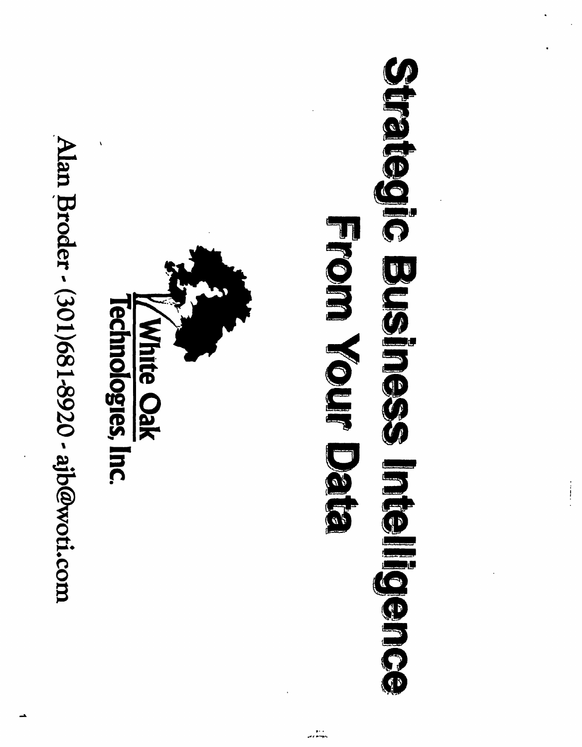Alan Broder - (301)681-8920 - ajb@woti.com



### Streiben Sephennemenbehop **From Nour Date**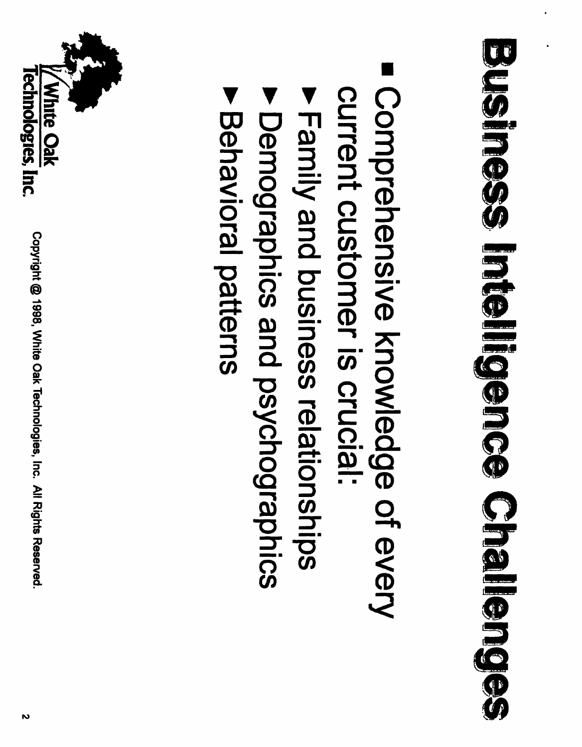# Bueineas Intellieo Challenes

- Comprehensive knowledge of every current customer is crucial:
- Family and business relationships
- **Pomographics and psychographics**
- ▶ Behavioral patterns

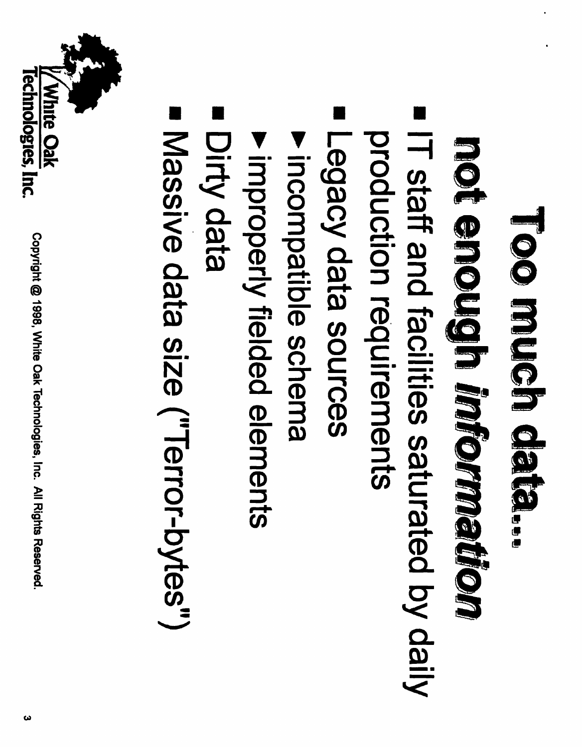### Too much data...

## not encludin michmatikon

- ٦ IT staff and facilities saturated by daily production requirements
- Legacy data sources
- Incompatible schema
- **Improperly fielded elements**
- Dirty data
- Massive data size ("Terror-bytes")

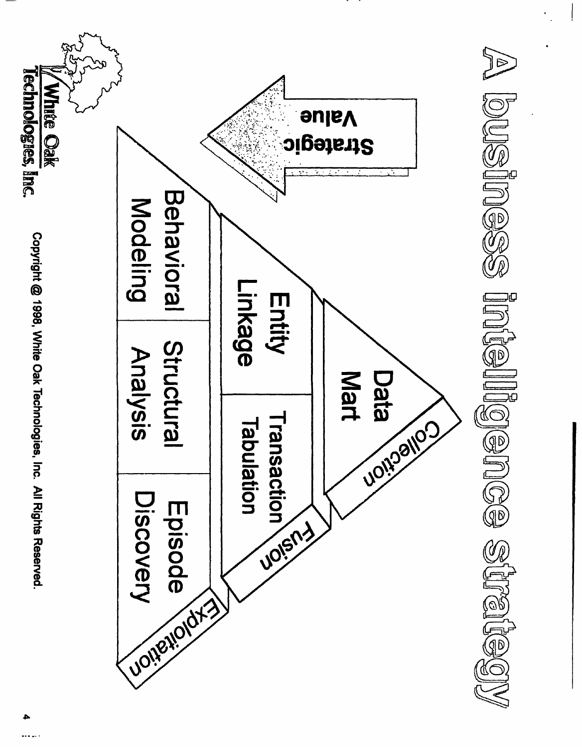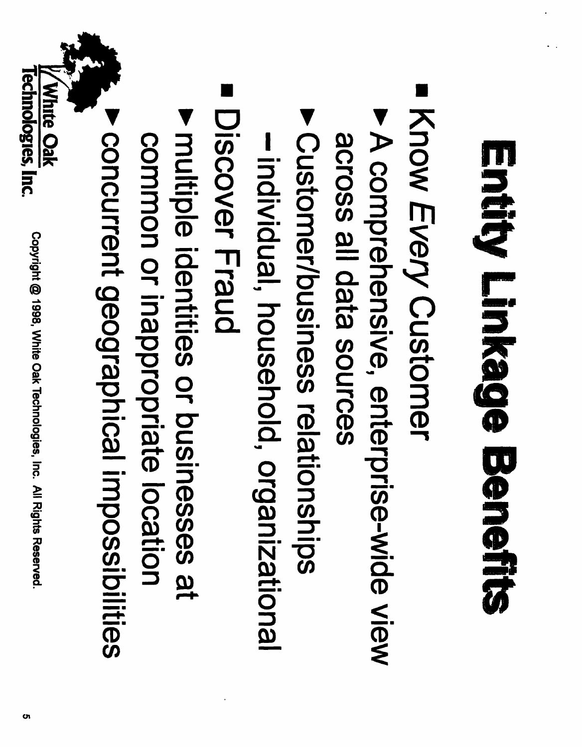## Entity Linkage Benefits

- Know Every Customer
- A comprehensive, enterprise-wide view sephose all data sources
- ▶ Customer/business relationships
- -individual, household, organizational
- Discover Fraud
- Imultiple identities or businesses at common or inappropriate location
- **> concurrent geographical impossibilities**

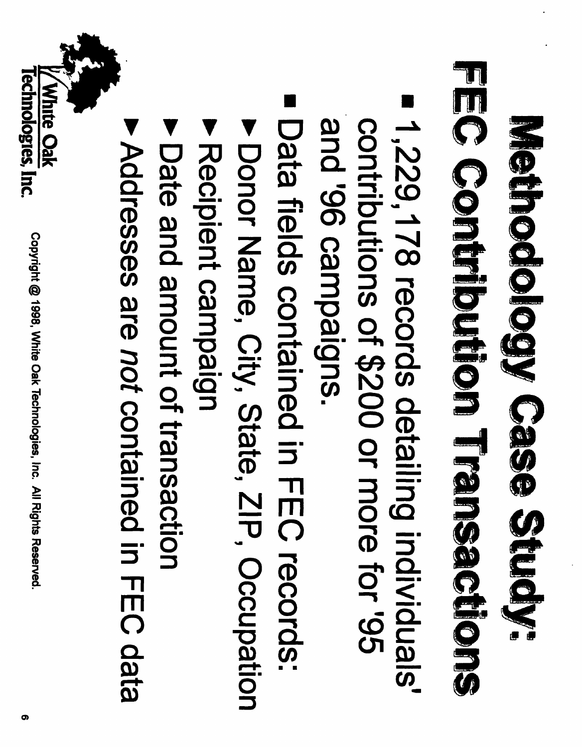### **FEG Conthollom Transactions** Methology Geses Study.

- 1,229,178 records detailing individuals' subiedweo 96, pue contributions of \$200 or more for '95
- Data fields contained in FEC records:
- ▶ Donor Name, City, State, ZIP, Occupation
- Recipient campaign
- **Date and amount of transaction**
- Addresses are not contained in FEC data

White Oak

**lechnologies, Inc.**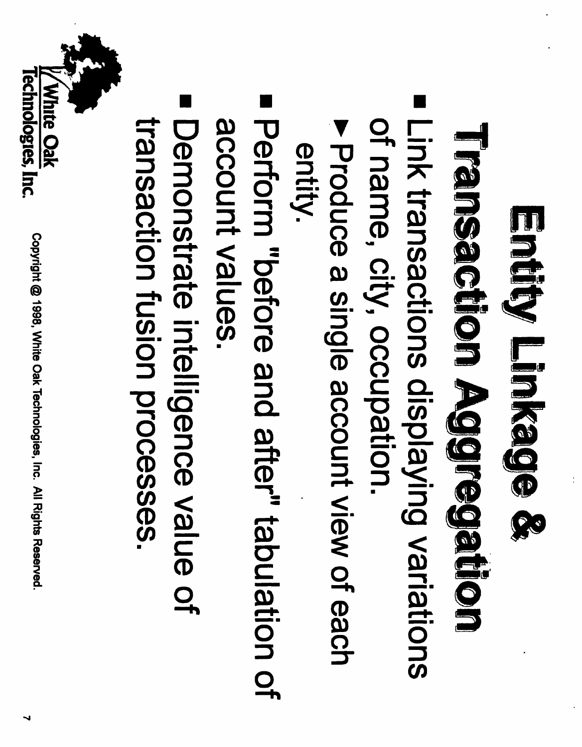### Entity Linkage &

## **Neinsachon Adgregiten**

- Link transactions displaying variations of name, city, occupation.
- Produce a single account view of each entity.
- Perform "before and after" tabulation of account values.
- Demonstrate intelligence value of transaction fusion processes.

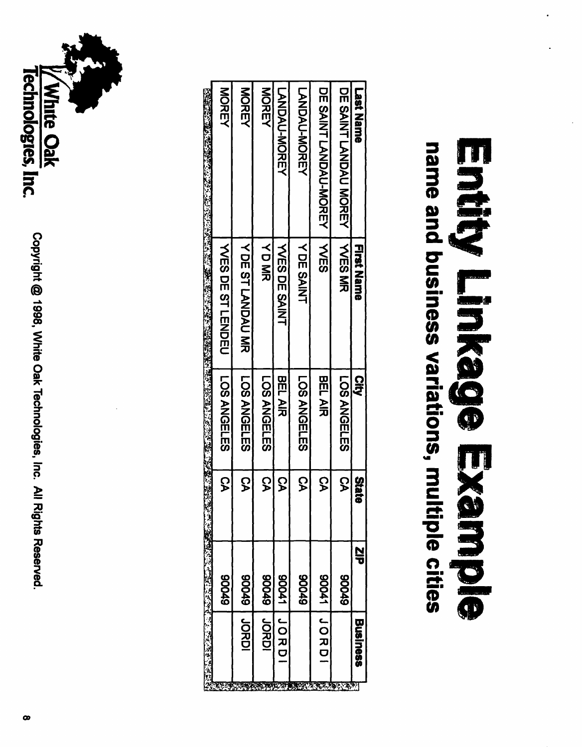#### name and business variations, multiple cities Entity Linkago Example

|                      | あいき とはなる (こうごくえい)<br>"不是"的话, |       |                |                         |                       |
|----------------------|------------------------------|-------|----------------|-------------------------|-----------------------|
|                      | 67006                        | င္ဘ   | LOS ANGELES    | <b>VUSSOL ST LESONS</b> | <b>NORGY</b>          |
| <b>UDRDI</b>         | 64006                        | S     | LOS ANGELES    | YDE STLANDAU MR         | NORDA                 |
| <b>JORDI</b>         | 64006                        | င္န   | LOS ANGELES    | くロミル                    | <b>NOREY</b>          |
| <b>LORD</b>          | 17006                        | င္န   | <b>BEL AIR</b> | <b>YES DE SAINT</b>     | <b>LANDAU-MOREY</b>   |
|                      | 67006                        | S     | LOS ANGELES    | Y DE SAINT              | <b>LANDAU-MOREY</b>   |
| LO<br>JO<br>JO<br>Jo | 17006                        | င္ဘ   | <b>BEL AIR</b> | ーくの                     | DE SAINT LANDAU-NOREY |
|                      | 67006                        | င္ခ   | LOS ANGELES    | 一く品のNR                  | DE SAIZH LANDAU NOREN |
| BUS iness            | 읍                            | State | <b>Qip</b>     | Tint Name               | <b>Last Name</b>      |
|                      |                              |       |                |                         |                       |



Copyright @ 1998, White Oak Technologies, Inc. All Rights Reserved.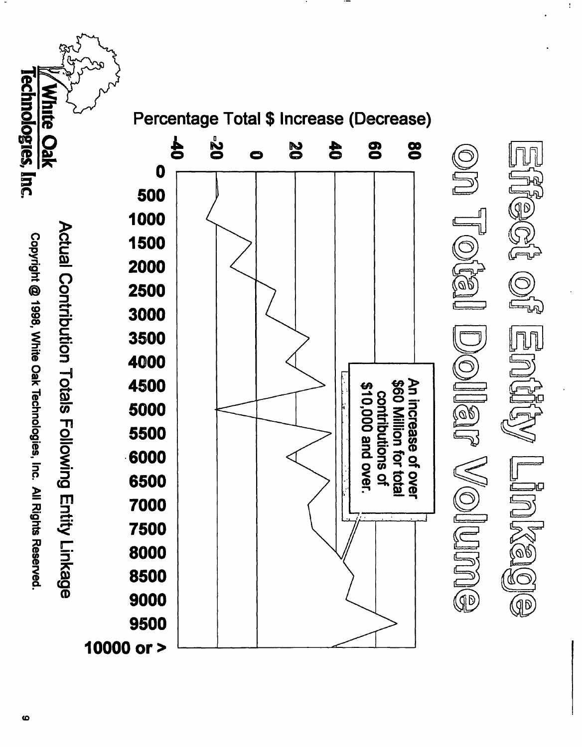*<b>Fechnologies, Inc.* **White Oak** Percentage Total \$ Increase (Decrease) 02°  $\frac{1}{2}$ 02 80 80  $\bf 40$  $\mathbb{E}[\mathbb{O} \mid \mathbb{U} \mathbb{O}]$ 0  $\boldsymbol{0}$ 500 [96] 1000 Actual Contribution Totals Following Entity Linkage Copyright @ 1998, White Oak Technologies, Inc. All Rights Reserved. 1500 2000 2500 3000 3500 IJ  $\mathbb{E}[\mathbb{E}[\mathbb{E}^{\mathbb{Z}}]$ 4000 4500 \$60 Million for total<br>contributions of An increase of over \$10,000 and over. 5000 5500 6000  $\mathbb{C}$ UUINOA 6500 7000 JESN 7500 8000 8500 9000  $\circledR$ 9500 10000 or >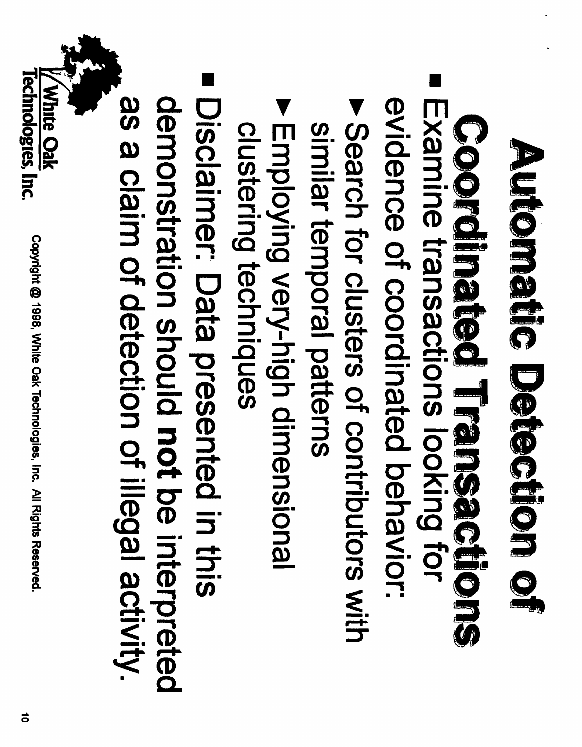## Automatic Detection of

## Conolleties Licitedions

- Examine transactions looking tor evidence of coordinated behavior:
- ▶ Search for clusters of contributors with similar temporal patterns
- **Employing very-high dimensional** clustering techniques
- Disclaimer: Data presented in this

as a claim of detection of illegal activity. demonstration should not be interpreted

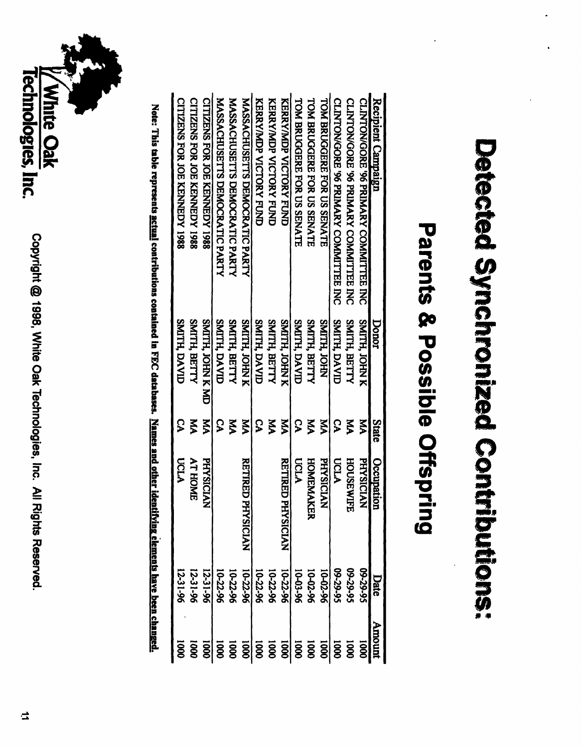## Detected Synchronized Contributions:

### **Parents & Possible Offspring**

| Recipient Campaign                            | Donor                 | State | Occupation                          | Date       | moury                |
|-----------------------------------------------|-----------------------|-------|-------------------------------------|------------|----------------------|
| CLINTON/GORE '96 PRIMARY COMMITTEE INC        | SMITH, JOHN K         | Ř     | <b>PHYSICIAN</b>                    | \$6-62-60  | <b>S</b>             |
| CLINTON/GORE '96 PRIMARY COMMITTEE INC        | SMITH, BETTY          | ξ     | <b>HOUSEWIFE</b>                    | \$6-62-60  | $\overline{5}$       |
| <b>CLINTON/GORE '96 PRIMARY COMMITTEE INC</b> | SMITH, DAVID          | ၟ     | <b>UCLA</b>                         | 56-62-60   | $\overline{5}$       |
| <b>TOM BRUGGERE FOR US SENATE</b>             | SMITH, JOHN           | Ř     | <b>PHYSICLAN</b>                    | 10-02-96   | 0001                 |
| <b>TOM BRUGGERE FOR US SENATE</b>             | <b>SMITH, BETTY</b>   | Ř     | HOMEMAKER                           | 10-02-96   | 0001                 |
| <b>TOM BRUGGERE FOR US SENATE</b>             | SMITH, DAVID          | င္န   | <b>UCLA</b>                         | 96-20-01   | 0001                 |
| KERY/MDP VICTORY FUND                         | SMITH, JOHN K         | KÁ    | <b>RETIRED PHY</b><br><b>SICIAN</b> | 10-22-96   |                      |
| <b>KEXXYADP NCLOKA END</b>                    | <b>SMITH, BETTY</b>   | Š     |                                     | 10-22-96   |                      |
| <b>KERKYMDP MCLORY HODER</b>                  | SMITH, DAVID          | S     |                                     | 10-22-96   | 0001<br>0001<br>0001 |
| <b>MASSACHUSETTS DEMOCRATIC PARTY</b>         | SMITH, JOHN K         | УŅ    | <b>RETIRED PHY</b><br><b>SICIAN</b> | 10-22-96   |                      |
| <b>MASSACHUSETTS DEMOCRATIC PARTY</b>         | SMITH, BETTY          | Š     |                                     | 10-22-96   | 000I                 |
| <b>MASSACHUSETTS DEMOCRATIC PARTY</b>         | SMITH, DAVID          | ၟ     |                                     | 10-22-96   | 0001                 |
| <b>CITIZENS FOR JOE KENNEDY 1988</b>          | <b>ONTH JOHN K ND</b> | УĀ    | <b>PHYSICIAN</b>                    | 12-31-96   | 0001                 |
| <b>CITIZENS FOR JOE KENNEDY 1988</b>          | SMITH, BETTY          | ξ     | <b>AT HOME</b>                      | $12-31-96$ | <b>DOOD</b>          |
| <b>CITIZENS FOR JOE KENNEDY 1988</b>          | <b>SMITH DAVID</b>    | ၟ     | ncrA                                | 12-31-96   |                      |
|                                               |                       |       |                                     |            |                      |

Note: This table represents <u>actual</u> contributions contained in FEC databases. Names and other identifying elements have been changed.

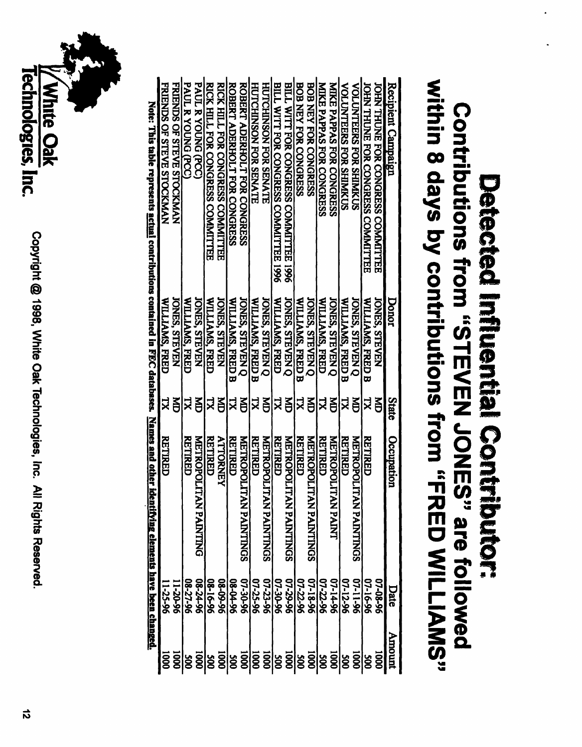#### within 8 days by contributions from "FRED WILLIAMS" Contributions from "STEVEN JONES" are followed Detected Influential Contributor:

| Recipient Campaign                                                                                                                                                                                                                                                             | Donor                   | State | Occupation                                | Date     | Amount                                     |
|--------------------------------------------------------------------------------------------------------------------------------------------------------------------------------------------------------------------------------------------------------------------------------|-------------------------|-------|-------------------------------------------|----------|--------------------------------------------|
| JOHN THUNE FOR CONGRESS COMMITTEE                                                                                                                                                                                                                                              | <b>IONES, STEVEN</b>    | ě     |                                           | 07-08-96 | <b>1000</b>                                |
| <b>IOFIN THUNE FOR CONGRESS COMMITTEE</b>                                                                                                                                                                                                                                      | WILLIAMS, FRED B        | 겈     | <b>RETTRED</b>                            | 07-16-96 | $\overline{500}$                           |
| <b>VOLUNTEERS FOR SHIMIKUS</b>                                                                                                                                                                                                                                                 | <b>IONES, STEVEN Q</b>  | ě     | <b>METROPOLITA</b><br><b>N PAINTINGS</b>  | 07-11-96 | 0001                                       |
| <b>VOLUNTEERS FOR SHIMKUS</b>                                                                                                                                                                                                                                                  | <b>WILLIAMS, FRED B</b> | 겨     | RETIRED                                   | 07-12-96 | $\frac{500}{3}$                            |
| <b>MIKE PAPPAS FOR CONGRESS</b>                                                                                                                                                                                                                                                | <b>IONES, STEVEN Q</b>  | ă     | <b>METROPOLITA</b><br><b>NPADAI</b>       | 07-14-96 |                                            |
| <b>MIKE PAPPAS FOR CONGRESS</b>                                                                                                                                                                                                                                                | WILLIAMS, FRED          | 넛     | <b>RETIRED</b>                            | 07-22-96 |                                            |
| <b>BOB NEY FOR CONGERS</b>                                                                                                                                                                                                                                                     | <b>ONES, STEVEN Q</b>   | 旨     | <b>METROPOLITA</b><br><b>N PAINTINGS</b>  | 07-18-96 |                                            |
| <b>BOB NEY FOR CONGRESS</b>                                                                                                                                                                                                                                                    | <b>WILLIAMS, FRED B</b> | R     | <b>RETIRED</b>                            | 07-22-96 |                                            |
| BILL WITT FOR CONGRESS COMMITTEE 1996                                                                                                                                                                                                                                          | <b>JONES, STEVEN Q</b>  | ă     | <b>METROPOLITA</b><br><b>N PAINTINGS</b>  | 96-52-20 |                                            |
| BILL WITT FOR CONGRESS COMMITTEE 1996                                                                                                                                                                                                                                          | WILLIAMS, FRED          | Ř     | <b>RETIRED</b>                            | 07-30-96 |                                            |
| <b>HULCHINSON EOR SENALE</b>                                                                                                                                                                                                                                                   | <b>ONES, STEVEN Q</b>   | Š     | <b>METROPOLITAN PAINTINGS</b>             | 07-23-96 |                                            |
| <b>HUTCHINSON FOR SENATE</b>                                                                                                                                                                                                                                                   | WILLIAMS, FRED B        | 녀     | RETIRED                                   | 07-25-96 |                                            |
| ROBERT ADERHOLT FOR CONGRESS                                                                                                                                                                                                                                                   | <b>JONES, STEVEN O</b>  | 旨     | <b>METROPOLITAI</b><br><b>N PAINTINGS</b> | 96-02-50 | -<br> မွ ချွံချွံချွံမွ ချွံမွ ချွံမွ ချွံ |
| ROBERT ADERIFOLT FOR CONGRESS                                                                                                                                                                                                                                                  | <b>WILLIAMS, FRED B</b> | 격     | <b>RETIRED</b>                            | 96-00-90 |                                            |
| RICK HILL FOR CONGRESS COMMITTEE                                                                                                                                                                                                                                               | <b>IONES, STEVEN</b>    | ă     | <b>ALLORNEA</b>                           | 96-60-80 | $\frac{1}{3}$                              |
| RICK HILL FOR CONGRESS COMMITTEE                                                                                                                                                                                                                                               | WILLIAMS, FRED          | ష     | <b>RETIRED</b>                            | 08-16-96 |                                            |
| <b>PAUL R YOUNG (PCC)</b>                                                                                                                                                                                                                                                      | <b>ONES, STEVEN</b>     | 旨     | <b>METROPOLITAL</b><br><b>N PAINTING</b>  | 96-74-90 |                                            |
| <b>PAUL R YOUNG (PCC)</b>                                                                                                                                                                                                                                                      | WILLAMS, FRED           | ŽТ    | <b>RETTRED</b>                            | 08-27-96 |                                            |
| <b>FRIENDS OF STEVE STOCKMAN</b>                                                                                                                                                                                                                                               | <b>JONES, STEVEN</b>    | ě     |                                           | 11-20-96 | $\overline{1000}$                          |
| <b>FRIENDS OF STEVE STOCKMAN</b>                                                                                                                                                                                                                                               | WILLIAMS, FRED          | X     | RETIRED                                   | 11-25-96 | $\overline{5}$                             |
| Networks and other ideas are a distribution of the distribution of $\mathbf{ECC}$ and $\mathbf{z}$ and $\mathbf{z}$ and $\mathbf{z}$ and $\mathbf{z}$ and $\mathbf{z}$ and $\mathbf{z}$ and $\mathbf{z}$ and $\mathbf{z}$ and $\mathbf{z}$ and $\mathbf{z}$ and $\mathbf{z}$ a |                         |       | tifying elements have been changed.       |          |                                            |
|                                                                                                                                                                                                                                                                                |                         |       |                                           |          |                                            |

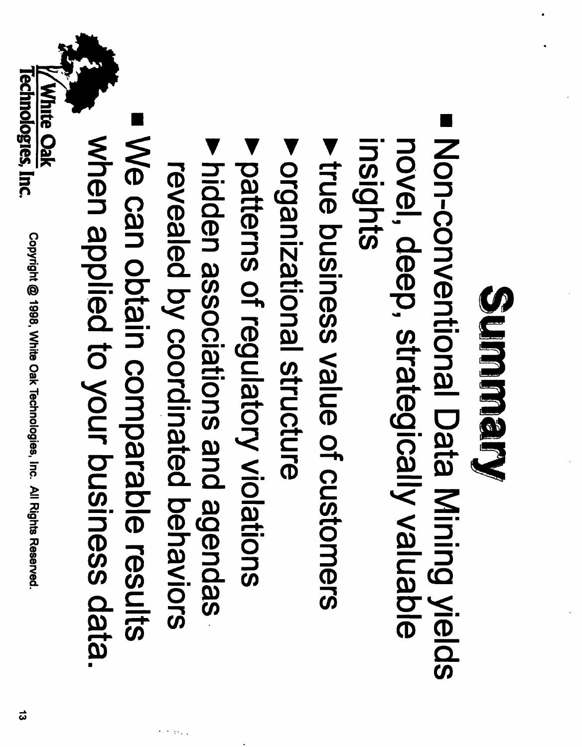#### Summery

- Non-conventional Data Mining yields novel, deep, strategically valuable insights
- **Liue business value of customers**
- publizational structure
- **P patterns of regulatory violations**
- A hidden associations and agendas revealed by coordinated behaviors
- We can obtain comparable results when applied to your business data.